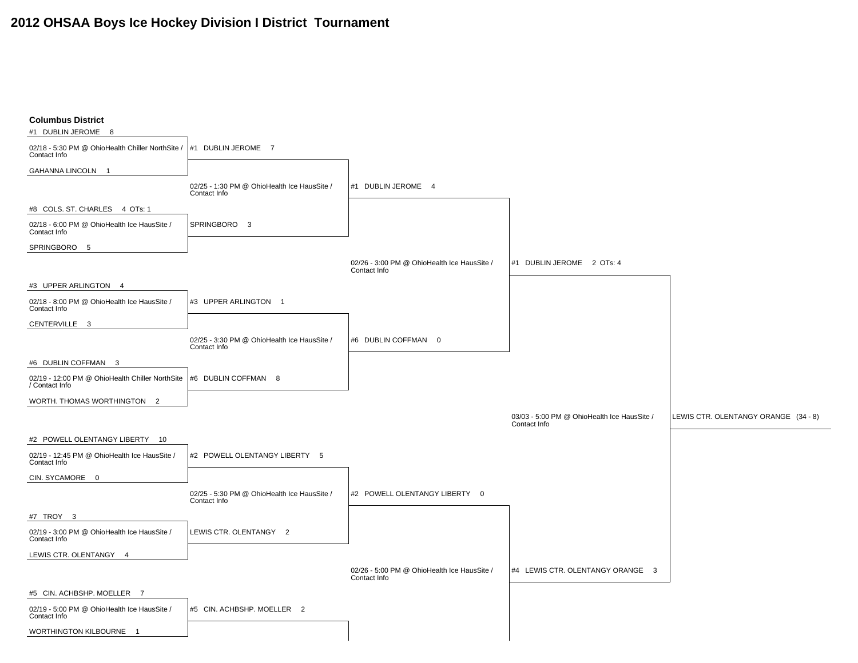## **2012 OHSAA Boys Ice Hockey Division I District Tournament**